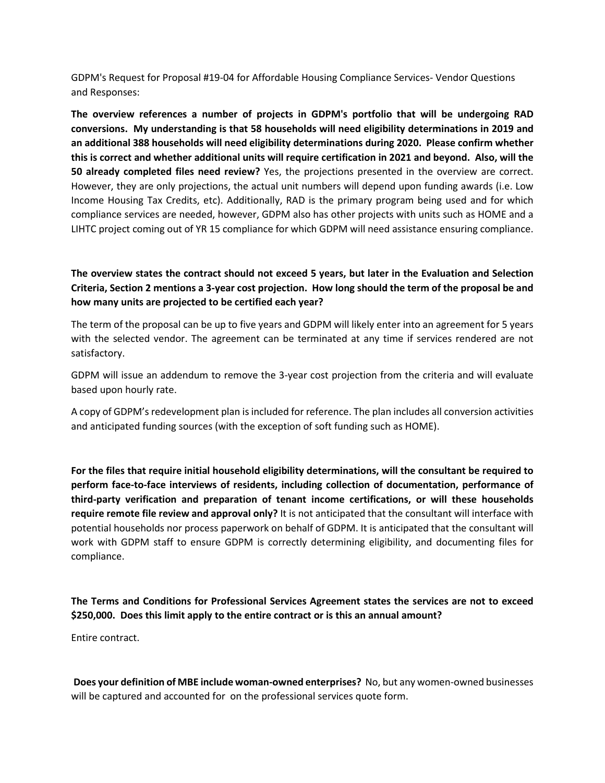GDPM's Request for Proposal #19-04 for Affordable Housing Compliance Services- Vendor Questions and Responses:

**The overview references a number of projects in GDPM's portfolio that will be undergoing RAD conversions. My understanding is that 58 households will need eligibility determinations in 2019 and an additional 388 households will need eligibility determinations during 2020. Please confirm whether this is correct and whether additional units will require certification in 2021 and beyond. Also, will the 50 already completed files need review?** Yes, the projections presented in the overview are correct. However, they are only projections, the actual unit numbers will depend upon funding awards (i.e. Low Income Housing Tax Credits, etc). Additionally, RAD is the primary program being used and for which compliance services are needed, however, GDPM also has other projects with units such as HOME and a LIHTC project coming out of YR 15 compliance for which GDPM will need assistance ensuring compliance.

#### **The overview states the contract should not exceed 5 years, but later in the Evaluation and Selection Criteria, Section 2 mentions a 3-year cost projection. How long should the term of the proposal be and how many units are projected to be certified each year?**

The term of the proposal can be up to five years and GDPM will likely enter into an agreement for 5 years with the selected vendor. The agreement can be terminated at any time if services rendered are not satisfactory.

GDPM will issue an addendum to remove the 3-year cost projection from the criteria and will evaluate based upon hourly rate.

A copy of GDPM's redevelopment plan is included for reference. The plan includes all conversion activities and anticipated funding sources (with the exception of soft funding such as HOME).

**For the files that require initial household eligibility determinations, will the consultant be required to perform face-to-face interviews of residents, including collection of documentation, performance of third-party verification and preparation of tenant income certifications, or will these households require remote file review and approval only?** It is not anticipated that the consultant will interface with potential households nor process paperwork on behalf of GDPM. It is anticipated that the consultant will work with GDPM staff to ensure GDPM is correctly determining eligibility, and documenting files for compliance.

### **The Terms and Conditions for Professional Services Agreement states the services are not to exceed \$250,000. Does this limit apply to the entire contract or is this an annual amount?**

Entire contract.

**Does your definition of MBE include woman-owned enterprises?** No, but any women-owned businesses will be captured and accounted for on the professional services quote form.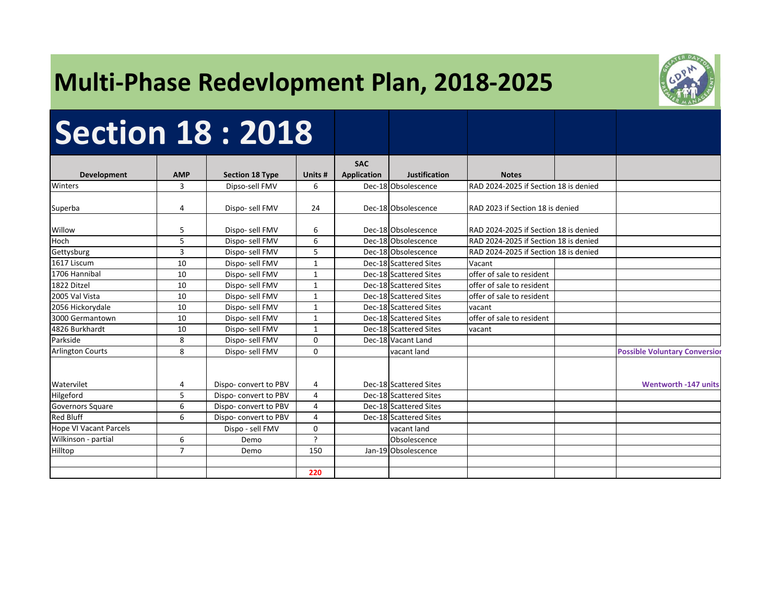## **Multi‐Phase Redevlopment Plan, 2018‐2025**



# **Section 18 : 2018**

|                               |                |                        |                | <b>SAC</b>         |                        |                                       |                                      |
|-------------------------------|----------------|------------------------|----------------|--------------------|------------------------|---------------------------------------|--------------------------------------|
| <b>Development</b>            | <b>AMP</b>     | <b>Section 18 Type</b> | Units #        | <b>Application</b> | <b>Justification</b>   | <b>Notes</b>                          |                                      |
| Winters                       | 3              | Dipso-sell FMV         | 6              |                    | Dec-18 Obsolescence    | RAD 2024-2025 if Section 18 is denied |                                      |
|                               |                |                        |                |                    |                        |                                       |                                      |
| Superba                       | 4              | Dispo- sell FMV        | 24             |                    | Dec-18 Obsolescence    | RAD 2023 if Section 18 is denied      |                                      |
|                               |                |                        |                |                    |                        |                                       |                                      |
| Willow                        | 5              | Dispo- sell FMV        | 6              |                    | Dec-18 Obsolescence    | RAD 2024-2025 if Section 18 is denied |                                      |
| Hoch                          | 5              | Dispo- sell FMV        | 6              |                    | Dec-18 Obsolescence    | RAD 2024-2025 if Section 18 is denied |                                      |
| Gettysburg                    | $\overline{3}$ | Dispo-sell FMV         | 5              |                    | Dec-18 Obsolescence    | RAD 2024-2025 if Section 18 is denied |                                      |
| 1617 Liscum                   | 10             | Dispo- sell FMV        | 1              |                    | Dec-18 Scattered Sites | Vacant                                |                                      |
| 1706 Hannibal                 | 10             | Dispo-sell FMV         | $\mathbf{1}$   |                    | Dec-18 Scattered Sites | offer of sale to resident             |                                      |
| 1822 Ditzel                   | 10             | Dispo-sell FMV         | $\mathbf{1}$   |                    | Dec-18 Scattered Sites | offer of sale to resident             |                                      |
| 2005 Val Vista                | 10             | Dispo-sell FMV         | $\mathbf{1}$   |                    | Dec-18 Scattered Sites | offer of sale to resident             |                                      |
| 2056 Hickorydale              | 10             | Dispo- sell FMV        | $\mathbf{1}$   |                    | Dec-18 Scattered Sites | vacant                                |                                      |
| 3000 Germantown               | 10             | Dispo-sell FMV         | 1              |                    | Dec-18 Scattered Sites | offer of sale to resident             |                                      |
| 4826 Burkhardt                | 10             | Dispo- sell FMV        | $\mathbf{1}$   |                    | Dec-18 Scattered Sites | vacant                                |                                      |
| Parkside                      | 8              | Dispo-sell FMV         | $\Omega$       |                    | Dec-18 Vacant Land     |                                       |                                      |
| <b>Arlington Courts</b>       | 8              | Dispo- sell FMV        | 0              |                    | vacant land            |                                       | <b>Possible Voluntary Conversion</b> |
|                               |                |                        |                |                    |                        |                                       |                                      |
|                               |                |                        |                |                    |                        |                                       |                                      |
| Watervilet                    | 4              | Dispo-convert to PBV   | 4              |                    | Dec-18 Scattered Sites |                                       | <b>Wentworth -147 units</b>          |
| Hilgeford                     | 5              | Dispo-convert to PBV   | 4              |                    | Dec-18 Scattered Sites |                                       |                                      |
| Governors Square              | 6              | Dispo-convert to PBV   | 4              |                    | Dec-18 Scattered Sites |                                       |                                      |
| <b>Red Bluff</b>              | 6              | Dispo-convert to PBV   | 4              |                    | Dec-18 Scattered Sites |                                       |                                      |
| <b>Hope VI Vacant Parcels</b> |                | Dispo - sell FMV       | $\Omega$       |                    | vacant land            |                                       |                                      |
| Wilkinson - partial           | 6              | Demo                   | $\mathfrak{p}$ |                    | Obsolescence           |                                       |                                      |
| Hilltop                       | $\overline{7}$ | Demo                   | 150            |                    | Jan-19 Obsolescence    |                                       |                                      |
|                               |                |                        |                |                    |                        |                                       |                                      |
|                               |                |                        | 220            |                    |                        |                                       |                                      |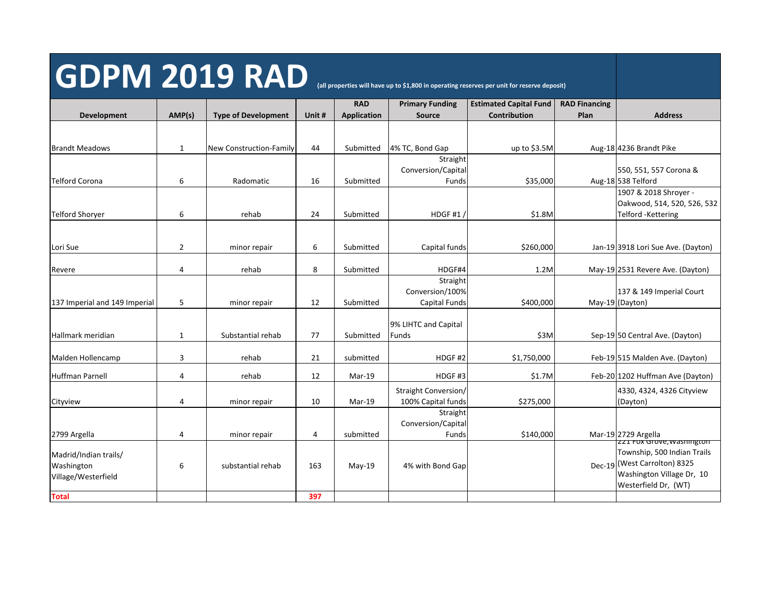# GDPM 2019 RAD (all properties will have up to \$1,800 in operating reserves per unit for reserve deposit)

**Total 397**

**Development AMP(s) Type of Development Unit # RAD Application Primary Funding SourceEstimated Capital Fund Contribution RAD Financing Plan Address** Brandt Meadows 1 1 New Construction‐Family 44 Submitted 4% TC, Bond Gap up to \$3.5M Aug-18 4236 Brandt Pike Telford Corona 6 Radomatic 16 Submitted Straight Conversion/Capital  $Funds$  \$35,000 550, 551, 557 Corona & Aug-18 538 Telford Telford Shoryer 6 rehab 24 Submitted HDGF #1 / \$1.8M 1907 & 2018 Shroyer ‐ Oakwood, 514, 520, 526, 532 Telford ‐Kettering Lori Sue 2 de 2 minor repair de Submitted | Capital funds \$260,000 Jan-19 3918 Lori Sue Ave. (Dayton) Revere 6 1.2M and the set of the set of the rehab the submitted HDGF#4 1.2M 1.2M May-19 2531 Revere Ave. (Dayton) 137 Imperial and 149 Imperial 5 minor repair 12 Submitted **Straight** Conversion/100%  $Capital$  Funds  $\frac{1}{2}$   $\frac{1}{2}$   $\frac{1}{2}$   $\frac{1}{2}$   $\frac{1}{2}$   $\frac{1}{2}$   $\frac{1}{2}$   $\frac{1}{2}$   $\frac{1}{2}$   $\frac{1}{2}$   $\frac{1}{2}$   $\frac{1}{2}$   $\frac{1}{2}$   $\frac{1}{2}$   $\frac{1}{2}$   $\frac{1}{2}$   $\frac{1}{2}$   $\frac{1}{2}$   $\frac{1}{2}$   $\frac{1}{2}$   $\frac{1}{2}$  137 & 149 Imperial Court (Dayton) Hallmark meridian 1 1 Substantial rehab 77 Submitted 9% LIHTC and Capital Funds **Funds Example 20** S3M Sep-19 50 Central Ave. (Dayton) Malden Hollencamp  $\begin{vmatrix} 3 & | & \text{rehab} & | & 21 & | & \text{submitted} & | & \text{HDGF \#2} & \text{S1,750,000} & \text{Feb-19 \mid 515 Malden Ave. (Dayton) } \end{vmatrix}$ Straight Conversion/

| Huffman Parnell                                            |   | rehab             | 12  | $Mar-19$  | HDGF H3              | \$1.7M    | Feb-20 1202 Huffman Ave (Dayton)                                                                                                                |
|------------------------------------------------------------|---|-------------------|-----|-----------|----------------------|-----------|-------------------------------------------------------------------------------------------------------------------------------------------------|
|                                                            |   |                   |     |           | Straight Conversion/ |           | 4330, 4324, 4326 Cityview                                                                                                                       |
| Cityview                                                   | 4 | minor repair      | 10  | Mar-19    | 100% Capital funds   | \$275,000 | (Dayton)                                                                                                                                        |
|                                                            |   |                   |     |           | Straight             |           |                                                                                                                                                 |
|                                                            |   |                   |     |           | Conversion/Capital   |           |                                                                                                                                                 |
| 2799 Argella                                               | 4 | minor repair      | 4   | submitted | Funds                | \$140,000 | Mar-19 2729 Argella                                                                                                                             |
| Madrid/Indian trails/<br>Washington<br>Village/Westerfield | ь | substantial rehab | 163 | $May-19$  | 4% with Bond Gap     |           | issue tox Grove, wasnington<br>Township, 500 Indian Trails<br>Dec-19 (West Carrolton) 8325<br>Washington Village Dr, 10<br>Westerfield Dr. (WT) |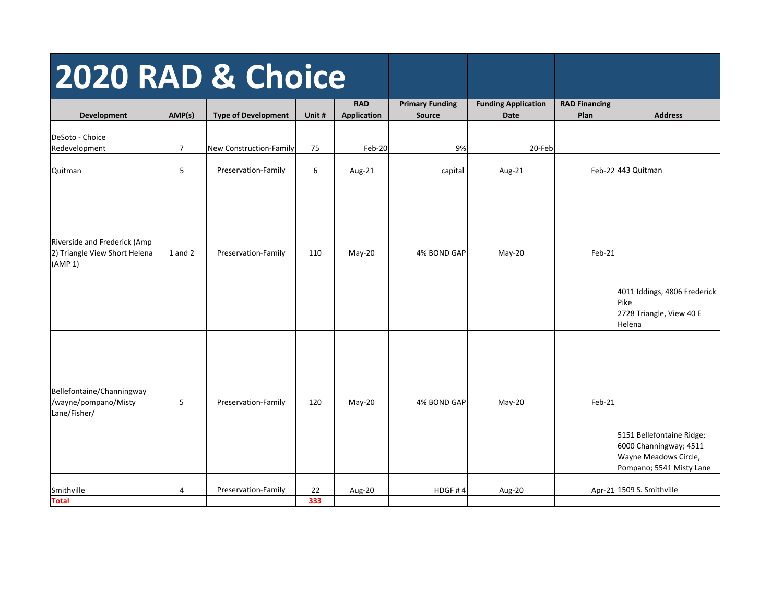| 2020 RAD & Choice                                                        |                |                            |        |                                  |                                         |                                           |                              |                                                                                                          |
|--------------------------------------------------------------------------|----------------|----------------------------|--------|----------------------------------|-----------------------------------------|-------------------------------------------|------------------------------|----------------------------------------------------------------------------------------------------------|
| Development                                                              | AMP(s)         | <b>Type of Development</b> | Unit # | <b>RAD</b><br><b>Application</b> | <b>Primary Funding</b><br><b>Source</b> | <b>Funding Application</b><br><b>Date</b> | <b>RAD Financing</b><br>Plan | <b>Address</b>                                                                                           |
| DeSoto - Choice<br>Redevelopment                                         | $\overline{7}$ | New Construction-Family    | 75     | Feb-20                           | 9%                                      | 20-Feb                                    |                              |                                                                                                          |
| Quitman                                                                  | 5              | Preservation-Family        | 6      | Aug-21                           | capital                                 | Aug-21                                    |                              | Feb-22 443 Quitman                                                                                       |
| Riverside and Frederick (Amp<br>2) Triangle View Short Helena<br>(AMP 1) | $1$ and $2$    | Preservation-Family        | 110    | May-20                           | 4% BOND GAP                             | May-20                                    | Feb-21                       | 4011 Iddings, 4806 Frederick<br>Pike<br>2728 Triangle, View 40 E<br>Helena                               |
| Bellefontaine/Channingway<br>/wayne/pompano/Misty<br>Lane/Fisher/        | 5              | Preservation-Family        | 120    | May-20                           | 4% BOND GAP                             | May-20                                    | Feb-21                       | 5151 Bellefontaine Ridge;<br>6000 Channingway; 4511<br>Wayne Meadows Circle,<br>Pompano; 5541 Misty Lane |
| Smithville                                                               | 4              | Preservation-Family        | 22     | Aug-20                           | HDGF#4                                  | Aug-20                                    |                              | Apr-21 1509 S. Smithville                                                                                |
| <b>Total</b>                                                             |                |                            | 333    |                                  |                                         |                                           |                              |                                                                                                          |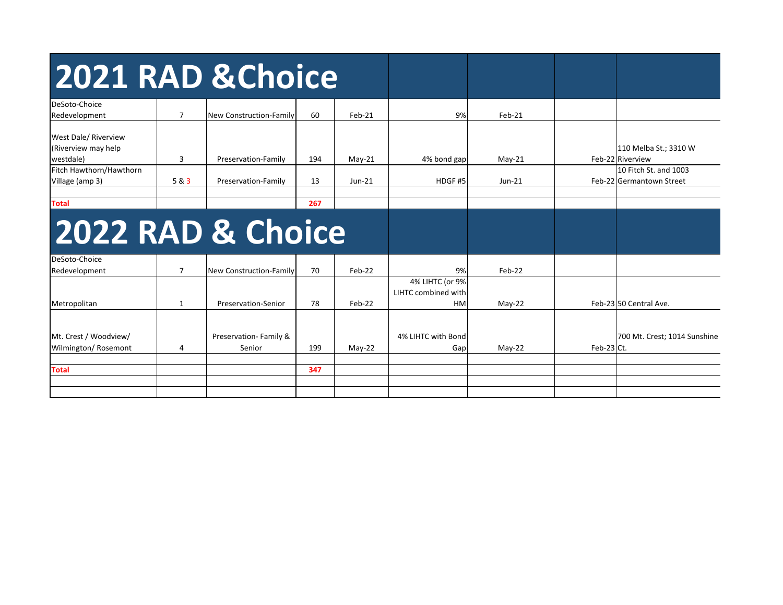| 2021 RAD & Choice                                        |                |                                |     |          |                                                     |          |            |                                                   |
|----------------------------------------------------------|----------------|--------------------------------|-----|----------|-----------------------------------------------------|----------|------------|---------------------------------------------------|
| DeSoto-Choice<br>Redevelopment                           | $\overline{7}$ | <b>New Construction-Family</b> | 60  | $Feb-21$ | 9%                                                  | $Feb-21$ |            |                                                   |
| West Dale/ Riverview<br>(Riverview may help<br>westdale) | 3              | Preservation-Family            | 194 | $May-21$ | 4% bond gap                                         | $May-21$ |            | 110 Melba St.; 3310 W<br>Feb-22 Riverview         |
| Fitch Hawthorn/Hawthorn<br>Village (amp 3)               | 5 & 3          | Preservation-Family            | 13  | $Jun-21$ | HDGF#5                                              | $Jun-21$ |            | 10 Fitch St. and 1003<br>Feb-22 Germantown Street |
| <b>Total</b>                                             |                |                                | 267 |          |                                                     |          |            |                                                   |
| 2022 RAD & Choice                                        |                |                                |     |          |                                                     |          |            |                                                   |
| DeSoto-Choice<br>Redevelopment                           | $\overline{7}$ | New Construction-Family        | 70  | Feb-22   | 9%                                                  | $Feb-22$ |            |                                                   |
| Metropolitan                                             | 1              | Preservation-Senior            | 78  | $Feb-22$ | 4% LIHTC (or 9%<br>LIHTC combined with<br><b>HM</b> | $May-22$ |            | Feb-23 50 Central Ave.                            |
| Mt. Crest / Woodview/                                    |                | Preservation-Family &          |     |          | 4% LIHTC with Bond                                  |          |            |                                                   |
| Wilmington/Rosemont                                      | 4              | Senior                         | 199 | $May-22$ | Gap                                                 | $May-22$ | Feb-23 Ct. | 700 Mt. Crest; 1014 Sunshine                      |
| <b>Total</b>                                             |                |                                | 347 |          |                                                     |          |            |                                                   |
|                                                          |                |                                |     |          |                                                     |          |            |                                                   |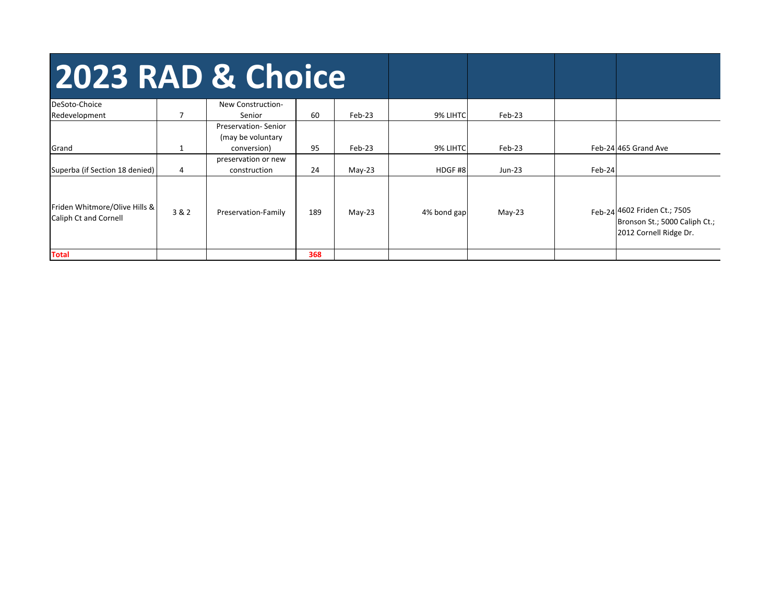| 2023 RAD & Choice                                      |                |                                                         |     |          |             |          |        |                                                                                         |
|--------------------------------------------------------|----------------|---------------------------------------------------------|-----|----------|-------------|----------|--------|-----------------------------------------------------------------------------------------|
| DeSoto-Choice                                          | $\overline{ }$ | New Construction-<br>Senior                             | 60  | $Feb-23$ | 9% LIHTC    | Feb-23   |        |                                                                                         |
| Redevelopment<br>Grand                                 |                | Preservation-Senior<br>(may be voluntary<br>conversion) | 95  | Feb-23   | 9% LIHTC    | Feb-23   |        | Feb-24 465 Grand Ave                                                                    |
| Superba (if Section 18 denied)                         | 4              | preservation or new<br>construction                     | 24  | $May-23$ | HDGF#8      | Jun-23   | Feb-24 |                                                                                         |
| Friden Whitmore/Olive Hills &<br>Caliph Ct and Cornell | 3 & 2          | Preservation-Family                                     | 189 | $May-23$ | 4% bond gap | $May-23$ |        | Feb-24 4602 Friden Ct.; 7505<br>Bronson St.; 5000 Caliph Ct.;<br>2012 Cornell Ridge Dr. |
| <b>Total</b>                                           |                |                                                         | 368 |          |             |          |        |                                                                                         |